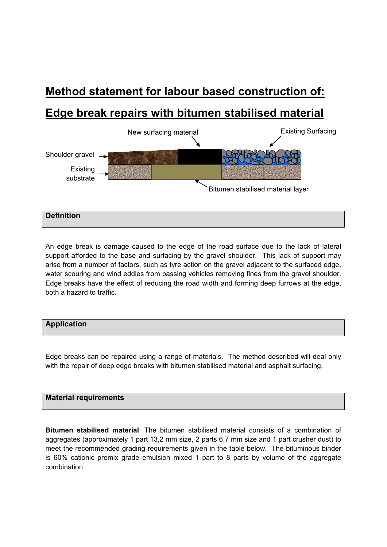# **Method statement for labour based construction of:**

## **Edge break repairs with bitumen stabilised material**



An edge break is damage caused to the edge of the road surface due to the lack of lateral support afforded to the base and surfacing by the gravel shoulder. This lack of support may arise from a number of factors, such as tyre action on the gravel adjacent to the surfaced edge, water scouring and wind eddies from passing vehicles removing fines from the gravel shoulder. Edge breaks have the effect of reducing the road width and forming deep furrows at the edge, both a hazard to traffic.



Edge breaks can be repaired using a range of materials. The method described will deal only with the repair of deep edge breaks with bitumen stabilised material and asphalt surfacing.

#### **Material requirements**

**Bitumen stabilised material**: The bitumen stabilised material consists of a combination of aggregates (approximately 1 part 13,2 mm size, 2 parts 6,7 mm size and 1 part crusher dust) to meet the recommended grading requirements given in the table below. The bituminous binder is 60% cationic premix grade emulsion mixed 1 part to 8 parts by volume of the aggregate combination.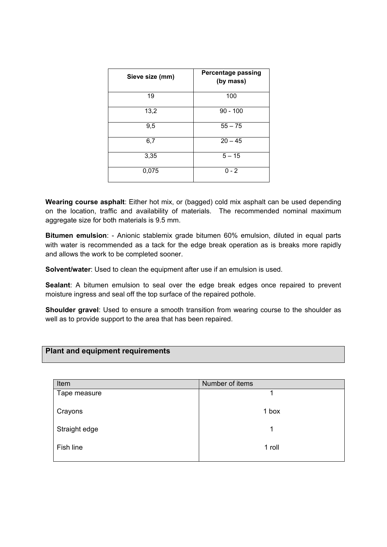| Sieve size (mm) | <b>Percentage passing</b><br>(by mass) |
|-----------------|----------------------------------------|
| 19              | 100                                    |
| 13,2            | $90 - 100$                             |
| 9,5             | $55 - 75$                              |
| 6,7             | $20 - 45$                              |
| 3,35            | $5 - 15$                               |
| 0,075           | $0 - 2$                                |

**Wearing course asphalt**: Either hot mix, or (bagged) cold mix asphalt can be used depending on the location, traffic and availability of materials. The recommended nominal maximum aggregate size for both materials is 9.5 mm.

**Bitumen emulsion**: - Anionic stablemix grade bitumen 60% emulsion, diluted in equal parts with water is recommended as a tack for the edge break operation as is breaks more rapidly and allows the work to be completed sooner.

**Solvent/water**: Used to clean the equipment after use if an emulsion is used.

**Sealant**: A bitumen emulsion to seal over the edge break edges once repaired to prevent moisture ingress and seal off the top surface of the repaired pothole.

**Shoulder gravel**: Used to ensure a smooth transition from wearing course to the shoulder as well as to provide support to the area that has been repaired.

| <b>Plant and equipment requirements</b> |  |
|-----------------------------------------|--|
|                                         |  |

| Item          | Number of items |
|---------------|-----------------|
| Tape measure  |                 |
| Crayons       | 1 box           |
| Straight edge | 1               |
| Fish line     | 1 roll          |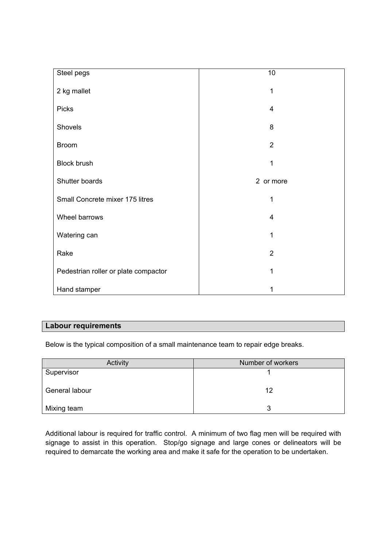| Steel pegs                           | 10                      |
|--------------------------------------|-------------------------|
| 2 kg mallet                          | 1                       |
| <b>Picks</b>                         | 4                       |
| Shovels                              | 8                       |
| <b>Broom</b>                         | $\overline{2}$          |
| <b>Block brush</b>                   | 1                       |
| Shutter boards                       | 2 or more               |
| Small Concrete mixer 175 litres      | 1                       |
| Wheel barrows                        | $\overline{\mathbf{4}}$ |
| Watering can                         | 1                       |
| Rake                                 | $\overline{2}$          |
| Pedestrian roller or plate compactor | 1                       |
| Hand stamper                         | 1                       |

### **Labour requirements**

Below is the typical composition of a small maintenance team to repair edge breaks.

| Activity       | Number of workers |
|----------------|-------------------|
| Supervisor     |                   |
| General labour | 12                |
| Mixing team    | 3                 |

Additional labour is required for traffic control. A minimum of two flag men will be required with signage to assist in this operation. Stop/go signage and large cones or delineators will be required to demarcate the working area and make it safe for the operation to be undertaken.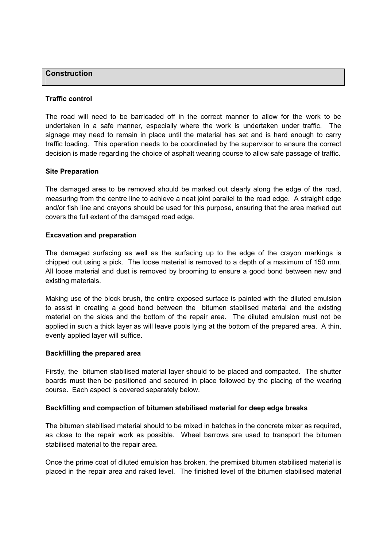#### **Construction**

#### **Traffic control**

The road will need to be barricaded off in the correct manner to allow for the work to be undertaken in a safe manner, especially where the work is undertaken under traffic. The signage may need to remain in place until the material has set and is hard enough to carry traffic loading. This operation needs to be coordinated by the supervisor to ensure the correct decision is made regarding the choice of asphalt wearing course to allow safe passage of traffic.

#### **Site Preparation**

The damaged area to be removed should be marked out clearly along the edge of the road, measuring from the centre line to achieve a neat joint parallel to the road edge. A straight edge and/or fish line and crayons should be used for this purpose, ensuring that the area marked out covers the full extent of the damaged road edge.

#### **Excavation and preparation**

The damaged surfacing as well as the surfacing up to the edge of the crayon markings is chipped out using a pick. The loose material is removed to a depth of a maximum of 150 mm. All loose material and dust is removed by brooming to ensure a good bond between new and existing materials.

Making use of the block brush, the entire exposed surface is painted with the diluted emulsion to assist in creating a good bond between the bitumen stabilised material and the existing material on the sides and the bottom of the repair area. The diluted emulsion must not be applied in such a thick layer as will leave pools lying at the bottom of the prepared area. A thin, evenly applied layer will suffice.

#### **Backfilling the prepared area**

Firstly, the bitumen stabilised material layer should to be placed and compacted. The shutter boards must then be positioned and secured in place followed by the placing of the wearing course. Each aspect is covered separately below.

#### **Backfilling and compaction of bitumen stabilised material for deep edge breaks**

The bitumen stabilised material should to be mixed in batches in the concrete mixer as required, as close to the repair work as possible. Wheel barrows are used to transport the bitumen stabilised material to the repair area.

Once the prime coat of diluted emulsion has broken, the premixed bitumen stabilised material is placed in the repair area and raked level. The finished level of the bitumen stabilised material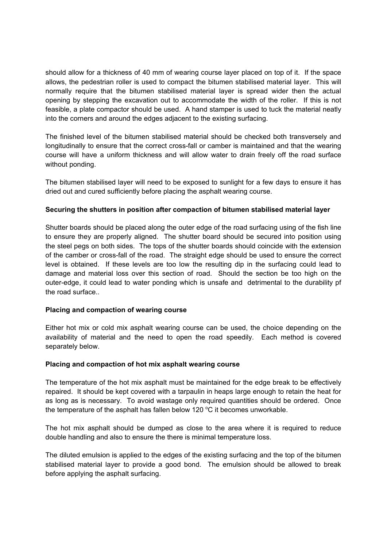should allow for a thickness of 40 mm of wearing course layer placed on top of it. If the space allows, the pedestrian roller is used to compact the bitumen stabilised material layer. This will normally require that the bitumen stabilised material layer is spread wider then the actual opening by stepping the excavation out to accommodate the width of the roller. If this is not feasible, a plate compactor should be used. A hand stamper is used to tuck the material neatly into the corners and around the edges adjacent to the existing surfacing.

The finished level of the bitumen stabilised material should be checked both transversely and longitudinally to ensure that the correct cross-fall or camber is maintained and that the wearing course will have a uniform thickness and will allow water to drain freely off the road surface without ponding.

The bitumen stabilised layer will need to be exposed to sunlight for a few days to ensure it has dried out and cured sufficiently before placing the asphalt wearing course.

#### **Securing the shutters in position after compaction of bitumen stabilised material layer**

Shutter boards should be placed along the outer edge of the road surfacing using of the fish line to ensure they are properly aligned. The shutter board should be secured into position using the steel pegs on both sides. The tops of the shutter boards should coincide with the extension of the camber or cross-fall of the road. The straight edge should be used to ensure the correct level is obtained. If these levels are too low the resulting dip in the surfacing could lead to damage and material loss over this section of road. Should the section be too high on the outer-edge, it could lead to water ponding which is unsafe and detrimental to the durability pf the road surface..

#### **Placing and compaction of wearing course**

Either hot mix or cold mix asphalt wearing course can be used, the choice depending on the availability of material and the need to open the road speedily. Each method is covered separately below.

#### **Placing and compaction of hot mix asphalt wearing course**

The temperature of the hot mix asphalt must be maintained for the edge break to be effectively repaired. It should be kept covered with a tarpaulin in heaps large enough to retain the heat for as long as is necessary. To avoid wastage only required quantities should be ordered. Once the temperature of the asphalt has fallen below 120  $^{\circ}$ C it becomes unworkable.

The hot mix asphalt should be dumped as close to the area where it is required to reduce double handling and also to ensure the there is minimal temperature loss.

The diluted emulsion is applied to the edges of the existing surfacing and the top of the bitumen stabilised material layer to provide a good bond. The emulsion should be allowed to break before applying the asphalt surfacing.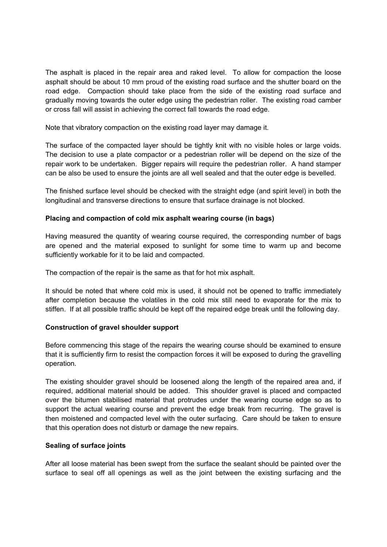The asphalt is placed in the repair area and raked level. To allow for compaction the loose asphalt should be about 10 mm proud of the existing road surface and the shutter board on the road edge. Compaction should take place from the side of the existing road surface and gradually moving towards the outer edge using the pedestrian roller. The existing road camber or cross fall will assist in achieving the correct fall towards the road edge.

Note that vibratory compaction on the existing road layer may damage it.

The surface of the compacted layer should be tightly knit with no visible holes or large voids. The decision to use a plate compactor or a pedestrian roller will be depend on the size of the repair work to be undertaken. Bigger repairs will require the pedestrian roller. A hand stamper can be also be used to ensure the joints are all well sealed and that the outer edge is bevelled.

The finished surface level should be checked with the straight edge (and spirit level) in both the longitudinal and transverse directions to ensure that surface drainage is not blocked.

#### **Placing and compaction of cold mix asphalt wearing course (in bags)**

Having measured the quantity of wearing course required, the corresponding number of bags are opened and the material exposed to sunlight for some time to warm up and become sufficiently workable for it to be laid and compacted.

The compaction of the repair is the same as that for hot mix asphalt.

It should be noted that where cold mix is used, it should not be opened to traffic immediately after completion because the volatiles in the cold mix still need to evaporate for the mix to stiffen. If at all possible traffic should be kept off the repaired edge break until the following day.

#### **Construction of gravel shoulder support**

Before commencing this stage of the repairs the wearing course should be examined to ensure that it is sufficiently firm to resist the compaction forces it will be exposed to during the gravelling operation.

The existing shoulder gravel should be loosened along the length of the repaired area and, if required, additional material should be added. This shoulder gravel is placed and compacted over the bitumen stabilised material that protrudes under the wearing course edge so as to support the actual wearing course and prevent the edge break from recurring. The gravel is then moistened and compacted level with the outer surfacing. Care should be taken to ensure that this operation does not disturb or damage the new repairs.

#### **Sealing of surface joints**

After all loose material has been swept from the surface the sealant should be painted over the surface to seal off all openings as well as the joint between the existing surfacing and the